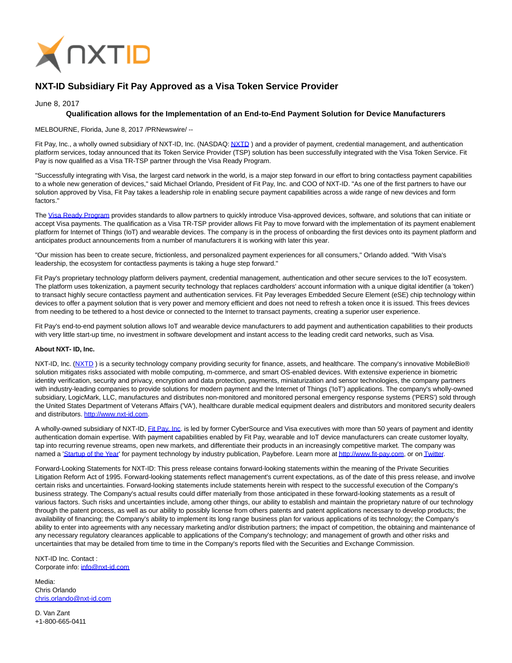

## **NXT-ID Subsidiary Fit Pay Approved as a Visa Token Service Provider**

## June 8, 2017

## **Qualification allows for the Implementation of an End-to-End Payment Solution for Device Manufacturers**

MELBOURNE, Florida, June 8, 2017 /PRNewswire/ --

Fit Pay, Inc., a wholly owned subsidiary of NXT-ID, Inc. (NASDAQ: NXTD) and a provider of payment, credential management, and authentication platform services, today announced that its Token Service Provider (TSP) solution has been successfully integrated with the Visa Token Service. Fit Pay is now qualified as a Visa TR-TSP partner through the Visa Ready Program.

"Successfully integrating with Visa, the largest card network in the world, is a major step forward in our effort to bring contactless payment capabilities to a whole new generation of devices," said Michael Orlando, President of Fit Pay, Inc. and COO of NXT-ID. "As one of the first partners to have our solution approved by Visa, Fit Pay takes a leadership role in enabling secure payment capabilities across a wide range of new devices and form factors."

The [Visa Ready Program p](https://usa.visa.com/partner-with-us/visa-ready.html)rovides standards to allow partners to quickly introduce Visa-approved devices, software, and solutions that can initiate or accept Visa payments. The qualification as a Visa TR-TSP provider allows Fit Pay to move forward with the implementation of its payment enablement platform for Internet of Things (IoT) and wearable devices. The company is in the process of onboarding the first devices onto its payment platform and anticipates product announcements from a number of manufacturers it is working with later this year.

"Our mission has been to create secure, frictionless, and personalized payment experiences for all consumers," Orlando added. "With Visa's leadership, the ecosystem for contactless payments is taking a huge step forward."

Fit Pay's proprietary technology platform delivers payment, credential management, authentication and other secure services to the IoT ecosystem. The platform uses tokenization, a payment security technology that replaces cardholders' account information with a unique digital identifier (a 'token') to transact highly secure contactless payment and authentication services. Fit Pay leverages Embedded Secure Element (eSE) chip technology within devices to offer a payment solution that is very power and memory efficient and does not need to refresh a token once it is issued. This frees devices from needing to be tethered to a host device or connected to the Internet to transact payments, creating a superior user experience.

Fit Pay's end-to-end payment solution allows IoT and wearable device manufacturers to add payment and authentication capabilities to their products with very little start-up time, no investment in software development and instant access to the leading credit card networks, such as Visa.

## **About NXT- ID, Inc.**

NXT-ID, Inc. (NXTD) is a security technology company providing security for finance, assets, and healthcare. The company's innovative MobileBio® solution mitigates risks associated with mobile computing, m-commerce, and smart OS-enabled devices. With extensive experience in biometric identity verification, security and privacy, encryption and data protection, payments, miniaturization and sensor technologies, the company partners with industry-leading companies to provide solutions for modern payment and the Internet of Things ('IoT') applications. The company's wholly-owned subsidiary, LogicMark, LLC, manufactures and distributes non-monitored and monitored personal emergency response systems ('PERS') sold through the United States Department of Veterans Affairs ('VA'), healthcare durable medical equipment dealers and distributors and monitored security dealers and distributors. [http://www.nxt-id.com.](http://www.nxt-id.com/) 

A wholly-owned subsidiary of NXT-ID, [Fit Pay, Inc.](http://www.fit-pay.com/) is led by former CyberSource and Visa executives with more than 50 years of payment and identity authentication domain expertise. With payment capabilities enabled by Fit Pay, wearable and IoT device manufacturers can create customer loyalty, tap into recurring revenue streams, open new markets, and differentiate their products in an increasingly competitive market. The company was named a ['Startup of the Year'](http://paybefore.com/top-stories/paybefore-reveals-2017-pay-awards-winners/) for payment technology by industry publication, Paybefore. Learn more a[t http://www.fit-pay.com,](http://www.fit-pay.com/) or o[n Twitter.](https://twitter.com/FitPayInc)

Forward-Looking Statements for NXT-ID: This press release contains forward-looking statements within the meaning of the Private Securities Litigation Reform Act of 1995. Forward-looking statements reflect management's current expectations, as of the date of this press release, and involve certain risks and uncertainties. Forward-looking statements include statements herein with respect to the successful execution of the Company's business strategy. The Company's actual results could differ materially from those anticipated in these forward-looking statements as a result of various factors. Such risks and uncertainties include, among other things, our ability to establish and maintain the proprietary nature of our technology through the patent process, as well as our ability to possibly license from others patents and patent applications necessary to develop products; the availability of financing; the Company's ability to implement its long range business plan for various applications of its technology; the Company's ability to enter into agreements with any necessary marketing and/or distribution partners; the impact of competition, the obtaining and maintenance of any necessary regulatory clearances applicable to applications of the Company's technology; and management of growth and other risks and uncertainties that may be detailed from time to time in the Company's reports filed with the Securities and Exchange Commission.

NXT-ID Inc. Contact : Corporate info: [info@nxt-id.com](mailto:info@nxt-id.com) 

Media: Chris Orlando [chris.orlando@nxt-id.com](mailto:chris.orlando@nxt-id.com) 

D. Van Zant +1-800-665-0411